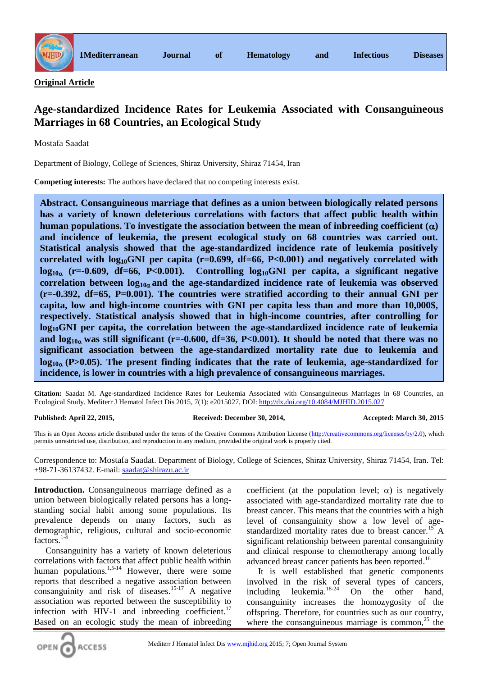

**Original Article**

# **Age-standardized Incidence Rates for Leukemia Associated with Consanguineous Marriages in 68 Countries, an Ecological Study**

Mostafa Saadat

Department of Biology, College of Sciences, Shiraz University, Shiraz 71454, Iran

**Competing interests:** The authors have declared that no competing interests exist.

**Abstract. Consanguineous marriage that defines as a union between biologically related persons has a variety of known deleterious correlations with factors that affect public health within human populations. To investigate the association between the mean of inbreeding coefficient**  $(\alpha)$ **and incidence of leukemia, the present ecological study on 68 countries was carried out. Statistical analysis showed that the age-standardized incidence rate of leukemia positively correlated with log10GNI per capita (r=0.699, df=66, P<0.001) and negatively correlated with log10 (r=-0.609, df=66, P<0.001). Controlling log10GNI per capita, a significant negative**  correlation between  $log_{10\alpha}$  and the age-standardized incidence rate of leukemia was observed **(r=-0.392, df=65, P=0.001). The countries were stratified according to their annual GNI per capita, low and high-income countries with GNI per capita less than and more than 10,000\$, respectively. Statistical analysis showed that in high-income countries, after controlling for log10GNI per capita, the correlation between the age-standardized incidence rate of leukemia**  and  $\log_{10\alpha}$  was still significant (r=-0.600, df=36, P<0.001). It should be noted that there was no **significant association between the age-standardized mortality rate due to leukemia and**   $log<sub>10<sub>α</sub></sub>$  (P>0.05). The present finding indicates that the rate of leukemia, age-standardized for **incidence, is lower in countries with a high prevalence of consanguineous marriages.**

**Citation:** Saadat M. Age-standardized Incidence Rates for Leukemia Associated with Consanguineous Marriages in 68 Countries, an Ecological Study. Mediterr J Hematol Infect Dis 2015, 7(1): e2015027, DOI[: http://dx.doi.org/10.4084/MJHID.2015.027](http://dx.doi.org/10.4084/MJHID.2015.027)

### **Published: April 22, 2015, Received: December 30, 2014, Accepted: March 30, 2015**

This is an Open Access article distributed under the terms of the Creative Commons Attribution License [\(http://creativecommons.org/licenses/by/2.0\)](http://creativecommons.org/licenses/by/2.0), which permits unrestricted use, distribution, and reproduction in any medium, provided the original work is properly cited.

Correspondence to: Mostafa Saadat. Department of Biology, College of Sciences, Shiraz University, Shiraz 71454, Iran. Tel: +98-71-36137432. E-mail: [saadat@shirazu.ac.ir](mailto:saadat@shirazu.ac.ir)

**Introduction.** Consanguineous marriage defined as a union between biologically related persons has a longstanding social habit among some populations. Its prevalence depends on many factors, such as demographic, religious, cultural and socio-economic factors. $1$ -

Consanguinity has a variety of known deleterious correlations with factors that affect public health within human populations. $1.5-14$  However, there were some reports that described a negative association between consanguinity and risk of diseases.<sup>15-17</sup> A negative association was reported between the susceptibility to infection with HIV-1 and inbreeding coefficient. $17$ Based on an ecologic study the mean of inbreeding

coefficient (at the population level;  $\alpha$ ) is negatively associated with age-standardized mortality rate due to breast cancer. This means that the countries with a high level of consanguinity show a low level of agestandardized mortality rates due to breast cancer.<sup>15</sup> A significant relationship between parental consanguinity and clinical response to chemotherapy among locally advanced breast cancer patients has been reported.<sup>16</sup>

It is well established that genetic components involved in the risk of several types of cancers, including leukemia. $18-24$  On the other hand, consanguinity increases the homozygosity of the offspring. Therefore, for countries such as our country, where the consanguineous marriage is common, $^{25}$  the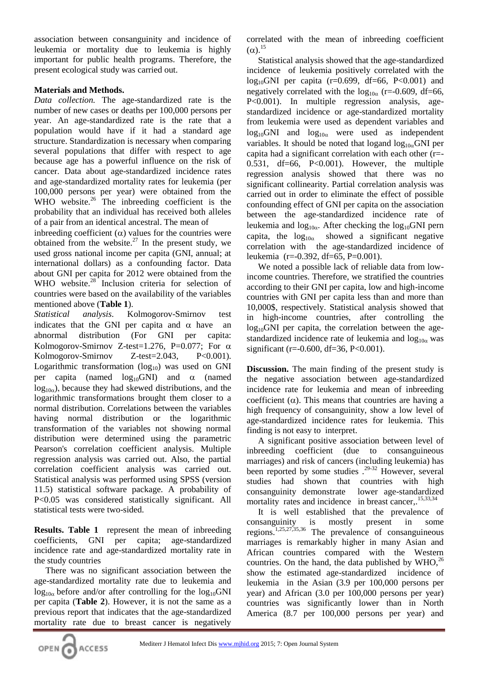association between consanguinity and incidence of leukemia or mortality due to leukemia is highly important for public health programs. Therefore, the present ecological study was carried out.

## **Materials and Methods.**

*Data collection.* The age-standardized rate is the number of new cases or deaths per 100,000 persons per year. An age-standardized rate is the rate that a population would have if it had a standard age structure. Standardization is necessary when comparing several populations that differ with respect to age because age has a powerful influence on the risk of cancer. Data about age-standardized incidence rates and age-standardized mortality rates for leukemia (per 100,000 persons per year) were obtained from the WHO website. $26$  The inbreeding coefficient is the probability that an individual has received both alleles of a pair from an identical ancestral. The mean of

inbreeding coefficient  $(\alpha)$  values for the countries were obtained from the website.<sup>27</sup> In the present study, we used gross national income per capita (GNI, annual; at international dollars) as a confounding factor. Data about GNI per capita for 2012 were obtained from the WHO website.<sup>28</sup> Inclusion criteria for selection of countries were based on the availability of the variables mentioned above (**Table 1**).

*Statistical analysis.* Kolmogorov-Smirnov test indicates that the GNI per capita and  $\alpha$  have an abnormal distribution (For GNI per capita: Kolmogorov-Smirnov Z-test=1.276, P=0.077; For  $\alpha$ Kolmogorov-Smirnov Z-test=2.043, P<0.001). Logarithmic transformation  $(log_{10})$  was used on GNI per capita (named  $log_{10}GNI$ ) and  $\alpha$  (named  $log_{10a}$ ), because they had skewed distributions, and the logarithmic transformations brought them closer to a normal distribution. Correlations between the variables having normal distribution or the logarithmic transformation of the variables not showing normal distribution were determined using the parametric Pearson's correlation coefficient analysis. Multiple regression analysis was carried out. Also, the partial correlation coefficient analysis was carried out. Statistical analysis was performed using SPSS (version 11.5) statistical software package. A probability of P<0.05 was considered statistically significant. All statistical tests were two-sided.

**Results. Table 1** represent the mean of inbreeding coefficients, GNI per capita; age-standardized incidence rate and age-standardized mortality rate in the study countries

There was no significant association between the age-standardized mortality rate due to leukemia and  $\log_{10a}$  before and/or after controlling for the  $\log_{10}$ GNI per capita (**Table 2**). However, it is not the same as a previous report that indicates that the age-standardized mortality rate due to breast cancer is negatively

correlated with the mean of inbreeding coefficient  $(\alpha)$ <sup>15</sup>

Statistical analysis showed that the age-standardized incidence of leukemia positively correlated with the  $log_{10}$ GNI per capita (r=0.699, df=66, P<0.001) and negatively correlated with the  $log_{10a}$  (r=-0.609, df=66, P<0.001). In multiple regression analysis, agestandardized incidence or age-standardized mortality from leukemia were used as dependent variables and  $log_{10}$ GNI and  $log_{10\alpha}$  were used as independent variables. It should be noted that logand  $log_{10a}$ GNI per capita had a significant correlation with each other (r=-  $0.531$ , df=66, P< $0.001$ ). However, the multiple regression analysis showed that there was no significant collinearity. Partial correlation analysis was carried out in order to eliminate the effect of possible confounding effect of GNI per capita on the association between the age-standardized incidence rate of leukemia and  $log_{10a}$ . After checking the  $log_{10}$ GNI pern capita, the  $log_{10\alpha}$  showed a significant negative correlation with the age-standardized incidence of leukemia (r=-0.392, df=65, P=0.001).

We noted a possible lack of reliable data from lowincome countries. Therefore, we stratified the countries according to their GNI per capita, low and high-income countries with GNI per capita less than and more than 10,000\$, respectively. Statistical analysis showed that in high-income countries, after controlling the  $log_{10}$ GNI per capita, the correlation between the agestandardized incidence rate of leukemia and  $log_{10}$  was significant (r= $-0.600$ , df=36, P<0.001).

**Discussion.** The main finding of the present study is the negative association between age-standardized incidence rate for leukemia and mean of inbreeding coefficient ( $\alpha$ ). This means that countries are having a high frequency of consanguinity, show a low level of age-standardized incidence rates for leukemia. This finding is not easy to interpret.

A significant positive association between level of inbreeding coefficient (due to consanguineous marriages) and risk of cancers (including leukemia) has been reported by some studies .<sup>29-32</sup> However, several studies had shown that countries with high consanguinity demonstrate lower age-standardized mortality rates and incidence in breast cancer,.<sup>15,33,34</sup>

It is well established that the prevalence of consanguinity is mostly present in some regions. 1,25,27,35,36 The prevalence of consanguineous marriages is remarkably higher in many Asian and African countries compared with the Western countries. On the hand, the data published by  $WHO<sup>26</sup>$ , show the estimated age-standardized incidence of leukemia in the Asian (3.9 per 100,000 persons per year) and African (3.0 per 100,000 persons per year) countries was significantly lower than in North America (8.7 per 100,000 persons per year) and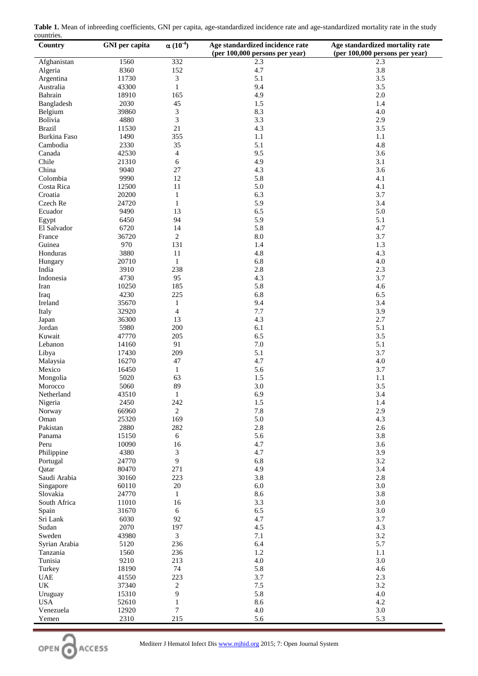| Table 1. Mean of inbreeding coefficients, GNI per capita, age-standardized incidence rate and age-standardized mortality rate in the study |  |  |  |
|--------------------------------------------------------------------------------------------------------------------------------------------|--|--|--|
| countries.                                                                                                                                 |  |  |  |

| Country                       | <b>GNI</b> per capita | $\alpha(10^{-4})$        | Age standardized incidence rate | Age standardized mortality rate |
|-------------------------------|-----------------------|--------------------------|---------------------------------|---------------------------------|
|                               |                       |                          | (per 100,000 persons per year)  | (per 100,000 persons per year)  |
| Afghanistan                   | 1560                  | 332                      | 2.3                             | 2.3                             |
| Algeria                       | 8360                  | 152                      | 4.7                             | 3.8                             |
| Argentina                     | 11730                 | 3                        | 5.1                             | 3.5                             |
| Australia                     | 43300                 | $\mathbf{1}$             | 9.4                             | 3.5                             |
| Bahrain                       | 18910                 | 165                      | 4.9                             | $2.0\,$                         |
| Bangladesh                    | 2030                  | 45                       | 1.5                             | 1.4                             |
| Belgium                       | 39860                 | 3                        | 8.3                             | 4.0                             |
| Bolivia                       | 4880                  | 3                        | 3.3                             | 2.9                             |
| <b>Brazil</b><br>Burkina Faso | 11530<br>1490         | 21<br>355                | 4.3<br>$1.1\,$                  | 3.5                             |
| Cambodia                      | 2330                  | 35                       | 5.1                             | 1.1<br>4.8                      |
| Canada                        | 42530                 | $\overline{\mathcal{A}}$ | 9.5                             | 3.6                             |
| Chile                         | 21310                 | 6                        | 4.9                             | 3.1                             |
| China                         | 9040                  | 27                       | 4.3                             | 3.6                             |
| Colombia                      | 9990                  | 12                       | 5.8                             | 4.1                             |
| Costa Rica                    | 12500                 | 11                       | 5.0                             | 4.1                             |
| Croatia                       | 20200                 | $\mathbf{1}$             | 6.3                             | 3.7                             |
| Czech Re                      | 24720                 | $\mathbf{1}$             | 5.9                             | 3.4                             |
| Ecuador                       | 9490                  | 13                       | 6.5                             | 5.0                             |
| Egypt                         | 6450                  | 94                       | 5.9                             | 5.1                             |
| El Salvador                   | 6720                  | 14                       | 5.8                             | 4.7                             |
| France                        | 36720                 | $\overline{c}$           | 8.0                             | 3.7                             |
| Guinea                        | 970                   | 131                      | 1.4                             | 1.3                             |
| Honduras                      | 3880                  | 11                       | 4.8                             | 4.3                             |
| Hungary                       | 20710                 | $\mathbf{1}$             | 6.8                             | 4.0                             |
| India                         | 3910                  | 238                      | 2.8                             | 2.3                             |
| Indonesia                     | 4730                  | 95                       | 4.3                             | 3.7                             |
| Iran                          | 10250                 | 185                      | 5.8                             | 4.6                             |
| Iraq                          | 4230                  | 225                      | 6.8                             | 6.5                             |
| Ireland                       | 35670                 | $\mathbf{1}$             | 9.4                             | 3.4                             |
| Italy                         | 32920                 | $\overline{4}$           | 7.7                             | 3.9                             |
| Japan                         | 36300                 | 13                       | 4.3                             | 2.7                             |
| Jordan                        | 5980                  | 200                      | 6.1                             | 5.1                             |
| Kuwait                        | 47770                 | 205                      | 6.5                             | 3.5                             |
| Lebanon                       | 14160                 | 91                       | $7.0\,$                         | 5.1                             |
| Libya                         | 17430                 | 209                      | 5.1                             | 3.7                             |
| Malaysia                      | 16270                 | 47                       | 4.7                             | 4.0                             |
| Mexico                        | 16450                 | 1                        | 5.6                             | 3.7                             |
| Mongolia                      | 5020                  | 63                       | 1.5                             | $1.1\,$                         |
| Morocco                       | 5060                  | 89                       | 3.0                             | 3.5                             |
| Netherland                    | 43510                 | 1                        | 6.9                             | 3.4                             |
| Nigeria                       | 2450                  | 242                      | 1.5                             | 1.4                             |
| Norway                        | 66960                 | $\overline{c}$           | 7.8                             | 2.9                             |
| Oman                          | 25320                 | 169                      | 5.0                             | 4.3                             |
| Pakistan                      | 2880                  | 282                      | 2.8                             | 2.6                             |
| Panama                        | 15150                 | 6                        | 5.6                             | 3.8                             |
| Peru                          | 10090                 | 16                       | 4.7                             | 3.6                             |
| Philippine                    | 4380                  | 3                        | 4.7                             | 3.9                             |
| Portugal                      | 24770                 | 9                        | 6.8                             | 3.2                             |
| Qatar                         | 80470                 | 271                      | 4.9<br>3.8                      | 3.4                             |
| Saudi Arabia                  | 30160<br>60110        | 223<br>$20\,$            | $6.0\,$                         | 2.8<br>3.0                      |
| Singapore<br>Slovakia         | 24770                 | $\mathbf{1}$             | 8.6                             | 3.8                             |
| South Africa                  | 11010                 | 16                       | 3.3                             | 3.0                             |
| Spain                         | 31670                 | 6                        | 6.5                             | 3.0                             |
| Sri Lank                      | 6030                  | 92                       | 4.7                             | 3.7                             |
| Sudan                         | 2070                  | 197                      | 4.5                             | 4.3                             |
| Sweden                        | 43980                 | 3                        | 7.1                             | 3.2                             |
| Syrian Arabia                 | 5120                  | 236                      | 6.4                             | 5.7                             |
| Tanzania                      | 1560                  | 236                      | 1.2                             | 1.1                             |
| Tunisia                       | 9210                  | 213                      | 4.0                             | 3.0                             |
| Turkey                        | 18190                 | 74                       | 5.8                             | 4.6                             |
| <b>UAE</b>                    | 41550                 | 223                      | 3.7                             | 2.3                             |
| UK                            | 37340                 | $\overline{c}$           | 7.5                             | 3.2                             |
| Uruguay                       | 15310                 | 9                        | 5.8                             | 4.0                             |
| <b>USA</b>                    | 52610                 | $\mathbf{1}$             | 8.6                             | 4.2                             |
| Venezuela                     | 12920                 | 7                        | 4.0                             | $3.0\,$                         |
| Yemen                         | 2310                  | 215                      | 5.6                             | 5.3                             |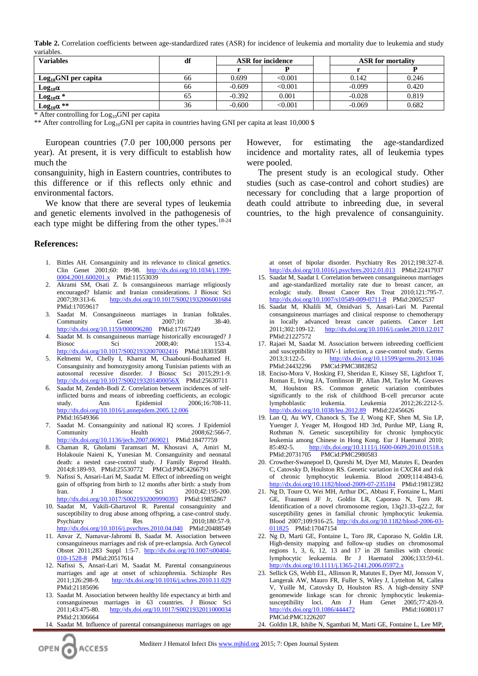**Table 2.** Correlation coefficients between age-standardized rates (ASR) for incidence of leukemia and mortality due to leukemia and study variables.

| Variables                 | df | <b>ASR</b> for incidence |         | <b>ASR</b> for mortality |       |
|---------------------------|----|--------------------------|---------|--------------------------|-------|
|                           |    |                          |         |                          |       |
| $Log_{10}$ GNI per capita | 66 | 0.699                    | < 0.001 | 0.142                    | 0.246 |
| Log <sub>10</sub> α       | 66 | $-0.609$                 | < 0.001 | $-0.099$                 | 0.420 |
| $Log_{10}\alpha *$        | 65 | $-0.392$                 | 0.001   | $-0.028$                 | 0.819 |
| $Log_{10}\alpha$ **       | 36 | $-0.600$                 | < 0.001 | $-0.069$                 | 0.682 |

\* After controlling for  $Log_{10}GNI$  per capita

\*\* After controlling for  $Log_{10}$ GNI per capita in countries having GNI per capita at least 10,000 \$

European countries (7.0 per 100,000 persons per year). At present, it is very difficult to establish how much the

consanguinity, high in Eastern countries, contributes to this difference or if this reflects only ethnic and environmental factors.

We know that there are several types of leukemia and genetic elements involved in the pathogenesis of each type might be differing from the other types.<sup>18-24</sup>

#### **References:**

- 1. Bittles AH. Consanguinity and its relevance to clinical genetics. Clin Genet 2001;60: 89-98. [http://dx.doi.org/10.1034/j.1399-](http://dx.doi.org/10.1034/j.1399-0004.2001.600201.x) [0004.2001.600201.x](http://dx.doi.org/10.1034/j.1399-0004.2001.600201.x) PMid:11553039
- 2. Akrami SM, Osati Z. Is consanguineous marriage religiously encouraged? Islamic and Iranian considerations. J Biosoc Sci 2007;39:313-6. <http://dx.doi.org/10.1017/S0021932006001684> PMid:17059617
- 3. Saadat M. Consanguineous marriages in Iranian folktales. Community Genet 2007;10: 38-40. <http://dx.doi.org/10.1159/000096280>PMid:17167249
- 4. Saadat M. Is consanguineous marriage historically encouraged? J Biosoc Sci 2008;40: 153-4. <http://dx.doi.org/10.1017/S0021932007002416>PMid:18303588
- 5. Kelmemi W, Chelly I, Kharrat M, Chaabouni-Bouhamed H. Consanguinity and homozygosity among Tunisian patients with an autosomal recessive disorder. J Biosoc Sci 2015;29:1-9. <http://dx.doi.org/10.1017/S002193201400056X>PMid:25630711
- 6. Saadat M, Zendeh-Bodi Z. Correlation between incidences of selfinflicted burns and means of inbreeding coefficients, an ecologic study. Ann Epidemiol 2006;16:708-11. <http://dx.doi.org/10.1016/j.annepidem.2005.12.006> PMid:16549366
- 7. Saadat M. Consanguinity and national IQ scores. J Epidemiol Community Health 2008;62:566-7. <http://dx.doi.org/10.1136/jech.2007.069021>PMid:18477759
- 8. Chaman R, Gholami Taramsari M, Khosravi A, Amiri M, Holakouie Naieni K, Yunesian M. Consanguinity and neonatal death: a nested case-control study. J Family Reprod Health. 2014;8:189-93. PMid:25530772 PMCid:PMC4266791
- 9. Nafissi S, Ansari-Lari M, Saadat M. Effect of inbreeding on weight gain of offspring from birth to 12 months after birth: a study from<br>Iran. J Biosoc Sci 2010:42:195-200. Iran. J Biosoc Sci 2010;42:195-200. <http://dx.doi.org/10.1017/S0021932009990393>PMid:19852867
- 10. Saadat M, Vakili-Ghartavol R. Parental consanguinity and susceptibility to drug abuse among offspring, a case-control study. Psychiatry Res 2010:180:57-9. <http://dx.doi.org/10.1016/j.psychres.2010.04.040>PMid:20488549
- 11. Anvar Z, Namavar-Jahromi B, Saadat M. Association between consanguineous marriages and risk of pre-eclampsia. Arch Gynecol Obstet 2011;283 Suppl 1:5-7. [http://dx.doi.org/10.1007/s00404-](http://dx.doi.org/10.1007/s00404-010-1528-8) [010-1528-8](http://dx.doi.org/10.1007/s00404-010-1528-8) PMid:20517614
- 12. Nafissi S, Ansari-Lari M, Saadat M. Parental consanguineous marriages and age at onset of schizophrenia. Schizophr Res 2011;126:298-9. http://dx.doi.org/10.1016/j.schres.2010.11.029 PMid:21185696
- 13. Saadat M. Association between healthy life expectancy at birth and consanguineous marriages in 63 countries. J Biosoc Sci 2011;43:475-80. <http://dx.doi.org/10.1017/S0021932011000034> PMid:21306664
- 14. Saadat M. Influence of parental consanguineous marriages on age

However, for estimating the age-standardized incidence and mortality rates, all of leukemia types were pooled.

The present study is an ecological study. Other studies (such as case-control and cohort studies) are necessary for concluding that a large proportion of death could attribute to inbreeding due, in several countries, to the high prevalence of consanguinity.

> at onset of bipolar disorder. Psychiatry Res 2012;198:327-8. <http://dx.doi.org/10.1016/j.psychres.2012.01.013>PMid:22417937

- 15. Saadat M, Saadat I. Correlation between consanguineous marriages and age-standardized mortality rate due to breast cancer, an ecologic study. Breast Cancer Res Treat 2010;121:795-7. <http://dx.doi.org/10.1007/s10549-009-0711-8>PMid:20052537
- 16. Saadat M, Khalili M, Omidvari S, Ansari-Lari M. Parental consanguineous marriages and clinical response to chemotherapy in locally advanced breast cancer patients. Cancer Lett 2011;302:109-12. <http://dx.doi.org/10.1016/j.canlet.2010.12.017> PMid:21227572
- 17. Rajaei M, Saadat M. Association between inbreeding coefficient and susceptibility to HIV-1 infection, a case-control study. Germs 2013;3:122-5. <http://dx.doi.org/10.11599/germs.2013.1046> PMid:24432296 PMCid:PMC3882852
- 18. Enciso-Mora V, Hosking FJ, Sheridan E, Kinsey SE, Lightfoot T, Roman E, Irving JA, Tomlinson IP, Allan JM, Taylor M, Greaves M, Houlston RS. Common genetic variation contributes significantly to the risk of childhood B-cell precursor acute lymphoblastic leukemia. Leukemia 2012;26:2212-5. <http://dx.doi.org/10.1038/leu.2012.89> PMid:22456626
- 19. Lan Q, Au WY, Chanock S, Tse J, Wong KF, Shen M, Siu LP, Yuenger J, Yeager M, Hosgood HD 3rd, Purdue MP, Liang R, Rothman N. Genetic susceptibility for chronic lymphocytic leukemia among Chinese in Hong Kong. Eur J Haematol 2010; 85:492-5. http://dx.doi.org/10.1111/j.1600-0609.2010.01518.x PMid:20731705 PMCid:PMC2980583
- 20. Crowther-Swanepoel D, Qureshi M, Dyer MJ, Matutes E, Dearden C, Catovsky D, Houlston RS. Genetic variation in CXCR4 and risk of chronic lymphocytic leukemia. Blood 2009;114:4843-6. <http://dx.doi.org/10.1182/blood-2009-07-235184>PMid:19812382
- 21. Ng D, Toure O, Wei MH, Arthur DC, Abbasi F, Fontaine L, Marti GE, Fraumeni JF Jr, Goldin LR, Caporaso N, Toro JR. Identification of a novel chromosome region, 13q21.33-q22.2, for susceptibility genes in familial chronic lymphocytic leukemia. Blood 2007;109:916-25. [http://dx.doi.org/10.1182/blood-2006-03-](http://dx.doi.org/10.1182/blood-2006-03-011825) [011825](http://dx.doi.org/10.1182/blood-2006-03-011825) PMid:17047154
- 22. Ng D, Marti GE, Fontaine L, Toro JR, Caporaso N, Goldin LR. High-density mapping and follow-up studies on chromosomal regions 1, 3, 6, 12, 13 and 17 in 28 families with chronic lymphocytic leukaemia. Br J Haematol 2006;133:59-61. <http://dx.doi.org/10.1111/j.1365-2141.2006.05972.x>
- 23. Sellick GS, Webb EL, Allinson R, Matutes E, Dyer MJ, Jonsson V, Langerak AW, Mauro FR, Fuller S, Wiley J, Lyttelton M, Callea V, Yuille M, Catovsky D, Houlston RS. A high-density SNP genomewide linkage scan for chronic lymphocytic leukemiasusceptibility loci. Am J Hum Genet 2005;77:420-9. <http://dx.doi.org/10.1086/444472> PMid:16080117 PMCid:PMC1226207
- 24. Goldin LR, Ishibe N, Sgambati M, Marti GE, Fontaine L, Lee MP,